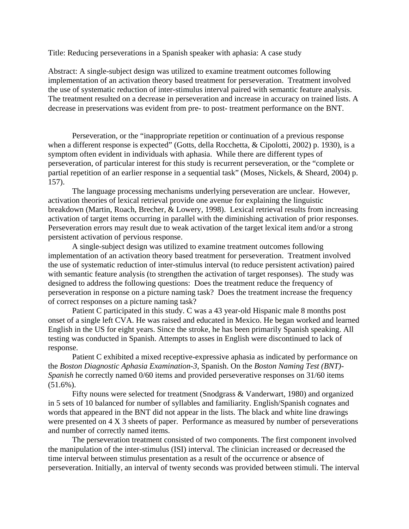Title: Reducing perseverations in a Spanish speaker with aphasia: A case study

Abstract: A single-subject design was utilized to examine treatment outcomes following implementation of an activation theory based treatment for perseveration. Treatment involved the use of systematic reduction of inter-stimulus interval paired with semantic feature analysis. The treatment resulted on a decrease in perseveration and increase in accuracy on trained lists. A decrease in preservations was evident from pre- to post- treatment performance on the BNT.

Perseveration, or the "inappropriate repetition or continuation of a previous response when a different response is expected" (Gotts, della Rocchetta, & Cipolotti, 2002) p. 1930), is a symptom often evident in individuals with aphasia. While there are different types of perseveration, of particular interest for this study is recurrent perseveration, or the "complete or partial repetition of an earlier response in a sequential task" (Moses, Nickels, & Sheard, 2004) p. 157).

The language processing mechanisms underlying perseveration are unclear. However, activation theories of lexical retrieval provide one avenue for explaining the linguistic breakdown (Martin, Roach, Brecher, & Lowery, 1998). Lexical retrieval results from increasing activation of target items occurring in parallel with the diminishing activation of prior responses. Perseveration errors may result due to weak activation of the target lexical item and/or a strong persistent activation of pervious response.

A single-subject design was utilized to examine treatment outcomes following implementation of an activation theory based treatment for perseveration. Treatment involved the use of systematic reduction of inter-stimulus interval (to reduce persistent activation) paired with semantic feature analysis (to strengthen the activation of target responses). The study was designed to address the following questions: Does the treatment reduce the frequency of perseveration in response on a picture naming task? Does the treatment increase the frequency of correct responses on a picture naming task?

Patient C participated in this study. C was a 43 year-old Hispanic male 8 months post onset of a single left CVA. He was raised and educated in Mexico. He began worked and learned English in the US for eight years. Since the stroke, he has been primarily Spanish speaking. All testing was conducted in Spanish. Attempts to asses in English were discontinued to lack of response.

Patient C exhibited a mixed receptive-expressive aphasia as indicated by performance on the *Boston Diagnostic Aphasia Examination-3*, Spanish. On the *Boston Naming Test (BNT)- Spanish* he correctly named 0/60 items and provided perseverative responses on 31/60 items (51.6%).

Fifty nouns were selected for treatment (Snodgrass & Vanderwart, 1980) and organized in 5 sets of 10 balanced for number of syllables and familiarity. English/Spanish cognates and words that appeared in the BNT did not appear in the lists. The black and white line drawings were presented on 4 X 3 sheets of paper. Performance as measured by number of perseverations and number of correctly named items.

The perseveration treatment consisted of two components. The first component involved the manipulation of the inter-stimulus (ISI) interval. The clinician increased or decreased the time interval between stimulus presentation as a result of the occurrence or absence of perseveration. Initially, an interval of twenty seconds was provided between stimuli. The interval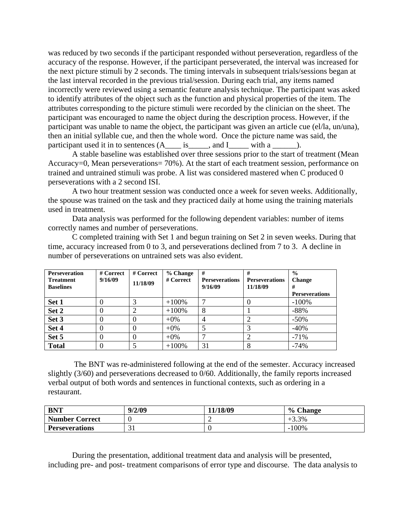was reduced by two seconds if the participant responded without perseveration, regardless of the accuracy of the response. However, if the participant perseverated, the interval was increased for the next picture stimuli by 2 seconds. The timing intervals in subsequent trials/sessions began at the last interval recorded in the previous trial/session. During each trial, any items named incorrectly were reviewed using a semantic feature analysis technique. The participant was asked to identify attributes of the object such as the function and physical properties of the item. The attributes corresponding to the picture stimuli were recorded by the clinician on the sheet. The participant was encouraged to name the object during the description process. However, if the participant was unable to name the object, the participant was given an article cue (el/la, un/una), then an initial syllable cue, and then the whole word. Once the picture name was said, the participant used it in to sentences  $(A_$ is<sub>\_\_\_\_</sub>, and I\_\_\_\_\_ with a \_\_\_\_\_\_.

A stable baseline was established over three sessions prior to the start of treatment (Mean Accuracy=0, Mean perseverations= 70%). At the start of each treatment session, performance on trained and untrained stimuli was probe. A list was considered mastered when C produced 0 perseverations with a 2 second ISI.

A two hour treatment session was conducted once a week for seven weeks. Additionally, the spouse was trained on the task and they practiced daily at home using the training materials used in treatment.

Data analysis was performed for the following dependent variables: number of items correctly names and number of perseverations.

C completed training with Set 1 and begun training on Set 2 in seven weeks. During that time, accuracy increased from 0 to 3, and perseverations declined from 7 to 3. A decline in number of perseverations on untrained sets was also evident.

| <b>Perseveration</b><br><b>Treatment</b><br><b>Baselines</b> | # Correct<br>9/16/09 | # Correct<br>11/18/09 | $%$ Change<br># Correct | #<br><b>Perseverations</b><br>9/16/09 | #<br><b>Perseverations</b><br>11/18/09 | $\frac{0}{0}$<br><b>Change</b><br>#<br><b>Perseverations</b> |
|--------------------------------------------------------------|----------------------|-----------------------|-------------------------|---------------------------------------|----------------------------------------|--------------------------------------------------------------|
| Set 1                                                        |                      |                       | $+100\%$                | ┑                                     |                                        | $-100%$                                                      |
| Set 2                                                        | 0                    |                       | $+100%$                 | 8                                     |                                        | $-88%$                                                       |
| Set 3                                                        | 0                    |                       | $+0\%$                  | $\overline{4}$                        | $\overline{c}$                         | $-50\%$                                                      |
| Set 4                                                        | 0                    |                       | $+0\%$                  |                                       | 3                                      | $-40%$                                                       |
| Set 5                                                        | 0                    |                       | $+0\%$                  | ⇁                                     | $\overline{2}$                         | $-71%$                                                       |
| <b>Total</b>                                                 |                      |                       | $+100%$                 | 31                                    | 8                                      | $-74%$                                                       |

 The BNT was re-administered following at the end of the semester. Accuracy increased slightly (3/60) and perseverations decreased to 0/60. Additionally, the family reports increased verbal output of both words and sentences in functional contexts, such as ordering in a restaurant.

| <b>BNT</b>            | 9/2/09 | 11/18/09 | $\frac{6}{10}$<br><b>Change</b> |
|-----------------------|--------|----------|---------------------------------|
| <b>Number Correct</b> |        | ∼        | $+3.3%$                         |
| <b>Perseverations</b> | JI     |          | 100%                            |

During the presentation, additional treatment data and analysis will be presented, including pre- and post- treatment comparisons of error type and discourse. The data analysis to